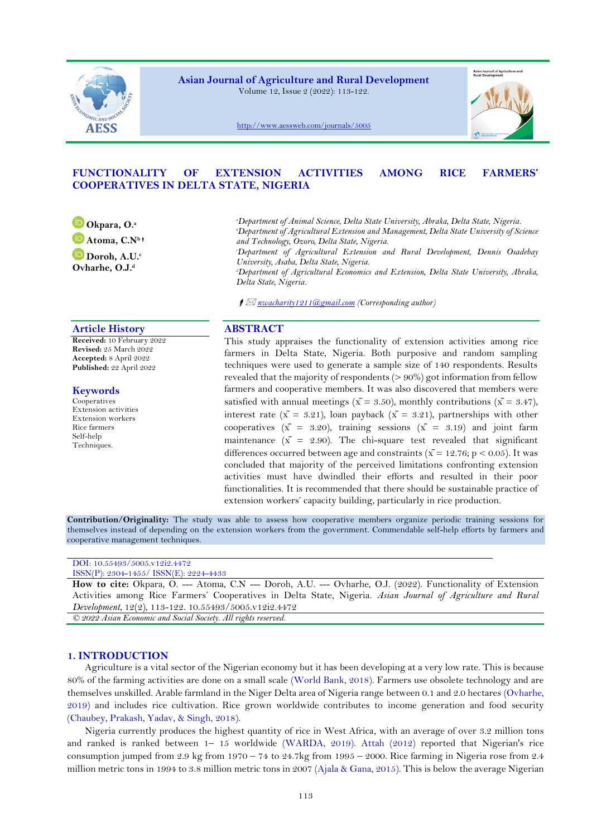

**Asian Journal of Agriculture and Rural Development** Volume 12, Issue 2 (2022): 113-122.



<http://www.aessweb.com/journals/5005>

# **FUNCTIONALITY OF EXTENSION ACTIVITIES AMONG RICE FARMERS' COOPERATIVES IN DELTA STATE, NIGERIA**

**[O](https://orcid.org/0000-0001-6751-1639)kpara, O.<sup>a</sup> [A](https://orcid.org/0000-0002-9032-4193)toma, C.N<sup>b</sup> [D](https://orcid.org/0000-0001-6193-4796)oroh, A.U.<sup>c</sup> Ovharhe, O.J.<sup>d</sup>**

*<sup>a</sup>Department of Animal Science, Delta State University, Abraka, Delta State, Nigeria. <sup>b</sup>Department of Agricultural Extension and Management, Delta State University of Science* 

*and Technology, Ozoro, Delta State, Nigeria.*

*<sup>c</sup>Department of Agricultural Extension and Rural Development, Dennis Osadebay University, Asaba, Delta State, Nigeria.*

*<sup>d</sup>Department of Agricultural Economics and Extension, Delta State University, Abraka, Delta State, Nigeria.*

*nwacharity1211@gmail.com (Corresponding author)*

# **Article History ABSTRACT**

**Received:** 10 February 2022 **Revised:** 25 March 2022 **Accepted:** 8 April 2022 **Published:** 22 April 2022

## **Keywords**

Cooperatives Extension activities Extension workers Rice farmers Self-help Techniques.

This study appraises the functionality of extension activities among rice farmers in Delta State, Nigeria. Both purposive and random sampling techniques were used to generate a sample size of 140 respondents. Results revealed that the majority of respondents (> 90%) got information from fellow farmers and cooperative members. It was also discovered that members were satisfied with annual meetings ( $\bar{x}$  = 3.50), monthly contributions ( $\bar{x}$  = 3.47), interest rate ( $\bar{x} = 3.21$ ), loan payback ( $\bar{x} = 3.21$ ), partnerships with other cooperatives  $(\bar{x} = 3.20)$ , training sessions  $(\bar{x} = 3.19)$  and joint farm maintenance  $(\bar{x} = 2.90)$ . The chi-square test revealed that significant differences occurred between age and constraints ( $\bar{x}$  = 12.76; p < 0.05). It was concluded that majority of the perceived limitations confronting extension activities must have dwindled their efforts and resulted in their poor functionalities. It is recommended that there should be sustainable practice of extension workers' capacity building, particularly in rice production.

**Contribution/Originality:** The study was able to assess how cooperative members organize periodic training sessions for themselves instead of depending on the extension workers from the government. Commendable self-help efforts by farmers and cooperative management techniques.

| DOI: 10.55493/5005.v12i2.4472                                                                               |
|-------------------------------------------------------------------------------------------------------------|
| $ISSN(P): 2304-1455/$ $ISSN(E): 2224-4433$                                                                  |
| How to cite: Okpara, O. --- Atoma, C.N --- Doroh, A.U. --- Ovharhe, O.J. (2022). Functionality of Extension |
| Activities among Rice Farmers' Cooperatives in Delta State, Nigeria. Asian Journal of Agriculture and Rural |
| Development, $12(2)$ , 113-122. 10.55493/5005.v12i2.4472                                                    |

*© 2022 Asian Economic and Social Society. All rights reserved.*

# **1. INTRODUCTION**

Agriculture is a vital sector of the Nigerian economy but it has been developing at a very low rate. This is because 80% of the farming activities are done on a small scale [\(World Bank, 2018\)](#page-9-0). Farmers use obsolete technology and are themselves unskilled. Arable farmland in the Niger Delta area of Nigeria range between 0.1 and 2.0 hectares [\(Ovharhe,](#page-9-1)  [2019\)](#page-9-1) and includes rice cultivation. Rice grown worldwide contributes to income generation and food security [\(Chaubey, Prakash, Yadav, & Singh, 2018\)](#page-8-0).

Nigeria currently produces the highest quantity of rice in West Africa, with an average of over 3.2 million tons and ranked is ranked between 1– 15 worldwide [\(WARDA, 2019\)](#page-9-2). [Attah \(2012\)](#page-8-1) reported that Nigerian's rice consumption jumped from  $2.9 \text{ kg}$  from  $1970 - 74$  to  $24.7 \text{ kg}$  from  $1995 - 2000$ . Rice farming in Nigeria rose from  $2.4$ million metric tons in 1994 to 3.8 million metric tons in 2007 [\(Ajala & Gana, 2015\)](#page-8-2). This is below the average Nigerian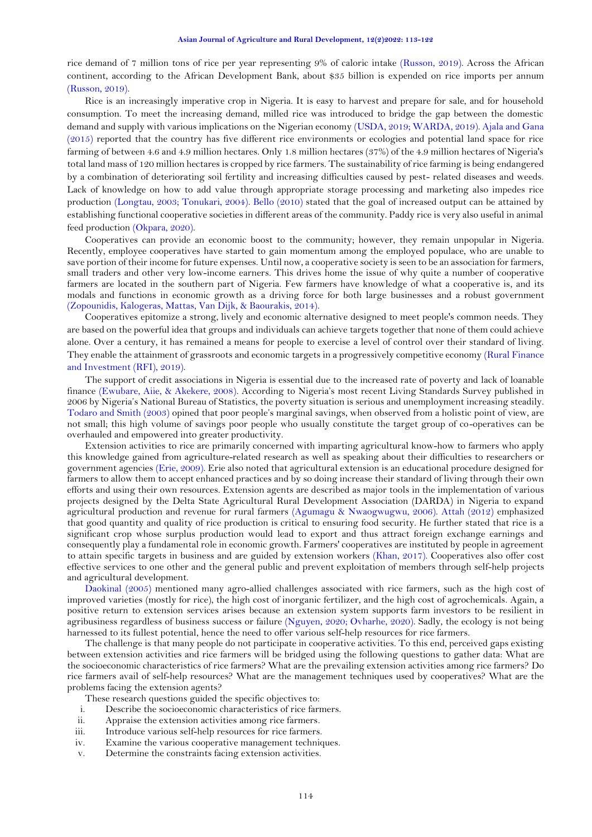rice demand of 7 million tons of rice per year representing 9% of caloric intake [\(Russon, 2019\)](#page-9-3). Across the African continent, according to the African Development Bank, about \$35 billion is expended on rice imports per annum [\(Russon, 2019\)](#page-9-3).

Rice is an increasingly imperative crop in Nigeria. It is easy to harvest and prepare for sale, and for household consumption. To meet the increasing demand, milled rice was introduced to bridge the gap between the domestic demand and supply with various implications on the Nigerian economy [\(USDA, 2019;](#page-9-4) [WARDA, 2019\)](#page-9-2)[. Ajala and Gana](#page-8-2)  [\(2015\)](#page-8-2) reported that the country has five different rice environments or ecologies and potential land space for rice farming of between 4.6 and 4.9 million hectares. Only 1.8 million hectares (37%) of the 4.9 million hectares of Nigeria's total land mass of 120 million hectares is cropped by rice farmers. The sustainability of rice farming is being endangered by a combination of deteriorating soil fertility and increasing difficulties caused by pest- related diseases and weeds. Lack of knowledge on how to add value through appropriate storage processing and marketing also impedes rice production [\(Longtau, 2003;](#page-8-3) [Tonukari, 2004\)](#page-9-5). [Bello \(2010\)](#page-8-4) stated that the goal of increased output can be attained by establishing functional cooperative societies in different areas of the community. Paddy rice is very also useful in animal feed production [\(Okpara, 2020\)](#page-9-6).

Cooperatives can provide an economic boost to the community; however, they remain unpopular in Nigeria. Recently, employee cooperatives have started to gain momentum among the employed populace, who are unable to save portion of their income for future expenses. Until now, a cooperative society is seen to be an association for farmers, small traders and other very low-income earners. This drives home the issue of why quite a number of cooperative farmers are located in the southern part of Nigeria. Few farmers have knowledge of what a cooperative is, and its modals and functions in economic growth as a driving force for both large businesses and a robust government [\(Zopounidis, Kalogeras, Mattas, Van Dijk, & Baourakis, 2014\)](#page-9-7).

Cooperatives epitomize a strong, lively and economic alternative designed to meet people's common needs. They are based on the powerful idea that groups and individuals can achieve targets together that none of them could achieve alone. Over a century, it has remained a means for people to exercise a level of control over their standard of living. They enable the attainment of grassroots and economic targets in a progressively competitive economy [\(Rural Finance](#page-9-8)  [and Investment \(RFI\), 2019\)](#page-9-8).

The support of credit associations in Nigeria is essential due to the increased rate of poverty and lack of loanable finance [\(Ewubare, Aiie, & Akekere, 2008\)](#page-8-5). According to Nigeria's most recent Living Standards Survey published in 2006 by Nigeria's National Bureau of Statistics, the poverty situation is serious and unemployment increasing steadily. [Todaro and Smith \(2003\)](#page-9-9) opined that poor people's marginal savings, when observed from a holistic point of view, are not small; this high volume of savings poor people who usually constitute the target group of co-operatives can be overhauled and empowered into greater productivity.

Extension activities to rice are primarily concerned with imparting agricultural know-how to farmers who apply this knowledge gained from agriculture-related research as well as speaking about their difficulties to researchers or government agencies [\(Erie, 2009\)](#page-8-6). Erie also noted that agricultural extension is an educational procedure designed for farmers to allow them to accept enhanced practices and by so doing increase their standard of living through their own efforts and using their own resources. Extension agents are described as major tools in the implementation of various projects designed by the Delta State Agricultural Rural Development Association (DARDA) in Nigeria to expand agricultural production and revenue for rural farmers [\(Agumagu & Nwaogwugwu, 2006\)](#page-8-7). [Attah \(2012\)](#page-8-1) emphasized that good quantity and quality of rice production is critical to ensuring food security. He further stated that rice is a significant crop whose surplus production would lead to export and thus attract foreign exchange earnings and consequently play a fundamental role in economic growth. Farmers' cooperatives are instituted by people in agreement to attain specific targets in business and are guided by extension workers [\(Khan, 2017\)](#page-8-8). Cooperatives also offer cost effective services to one other and the general public and prevent exploitation of members through self-help projects and agricultural development.

[Daokinal \(2005\)](#page-8-9) mentioned many agro-allied challenges associated with rice farmers, such as the high cost of improved varieties (mostly for rice), the high cost of inorganic fertilizer, and the high cost of agrochemicals. Again, a positive return to extension services arises because an extension system supports farm investors to be resilient in agribusiness regardless of business success or failure [\(Nguyen, 2020;](#page-9-10) [Ovharhe, 2020\)](#page-9-11). Sadly, the ecology is not being harnessed to its fullest potential, hence the need to offer various self-help resources for rice farmers.

The challenge is that many people do not participate in cooperative activities. To this end, perceived gaps existing between extension activities and rice farmers will be bridged using the following questions to gather data: What are the socioeconomic characteristics of rice farmers? What are the prevailing extension activities among rice farmers? Do rice farmers avail of self-help resources? What are the management techniques used by cooperatives? What are the problems facing the extension agents?

These research questions guided the specific objectives to:

- i. Describe the socioeconomic characteristics of rice farmers.
- ii. Appraise the extension activities among rice farmers.
- iii. Introduce various self-help resources for rice farmers.
- iv. Examine the various cooperative management techniques.
- v. Determine the constraints facing extension activities.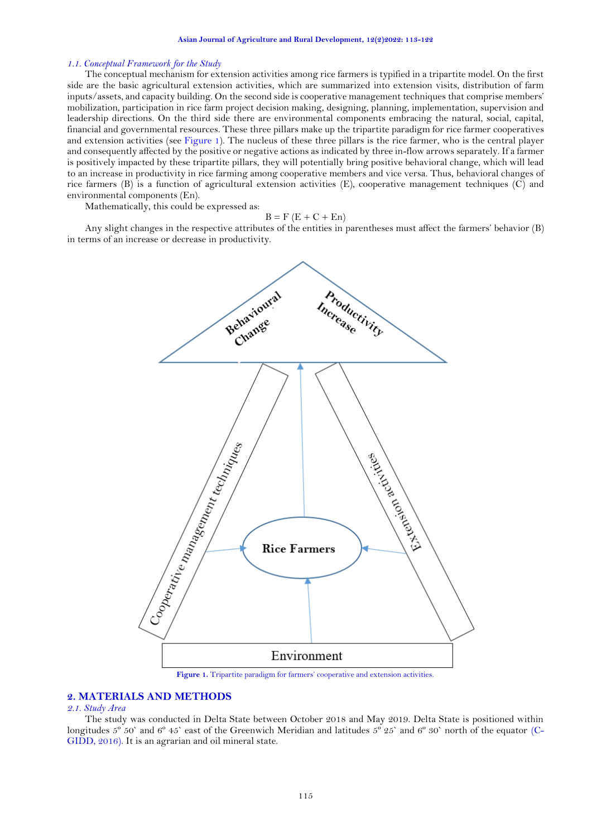### *1.1. Conceptual Framework for the Study*

The conceptual mechanism for extension activities among rice farmers is typified in a tripartite model. On the first side are the basic agricultural extension activities, which are summarized into extension visits, distribution of farm inputs/assets, and capacity building. On the second side is cooperative management techniques that comprise members' mobilization, participation in rice farm project decision making, designing, planning, implementation, supervision and leadership directions. On the third side there are environmental components embracing the natural, social, capital, financial and governmental resources. These three pillars make up the tripartite paradigm for rice farmer cooperatives and extension activities (see [Figure 1\)](#page-2-0). The nucleus of these three pillars is the rice farmer, who is the central player and consequently affected by the positive or negative actions as indicated by three in-flow arrows separately. If a farmer is positively impacted by these tripartite pillars, they will potentially bring positive behavioral change, which will lead to an increase in productivity in rice farming among cooperative members and vice versa. Thus, behavioral changes of rice farmers (B) is a function of agricultural extension activities (E), cooperative management techniques (C) and environmental components (En).

Mathematically, this could be expressed as:

$$
B = F(E + C + En)
$$

Any slight changes in the respective attributes of the entities in parentheses must affect the farmers' behavior (B) in terms of an increase or decrease in productivity.



**Figure 1.** Tripartite paradigm for farmers' cooperative and extension activities.

# <span id="page-2-0"></span>**2. MATERIALS AND METHODS**

#### *2.1. Study Area*

The study was conducted in Delta State between October 2018 and May 2019. Delta State is positioned within longitudes 5<sup>°</sup> 50` and 6<sup>°</sup> 45` east of the Greenwich Meridian and latitudes 5<sup>°</sup> 25` and 6<sup>°</sup> 30` north of the equator [\(C-](#page-8-10)[GIDD, 2016\)](#page-8-10). It is an agrarian and oil mineral state.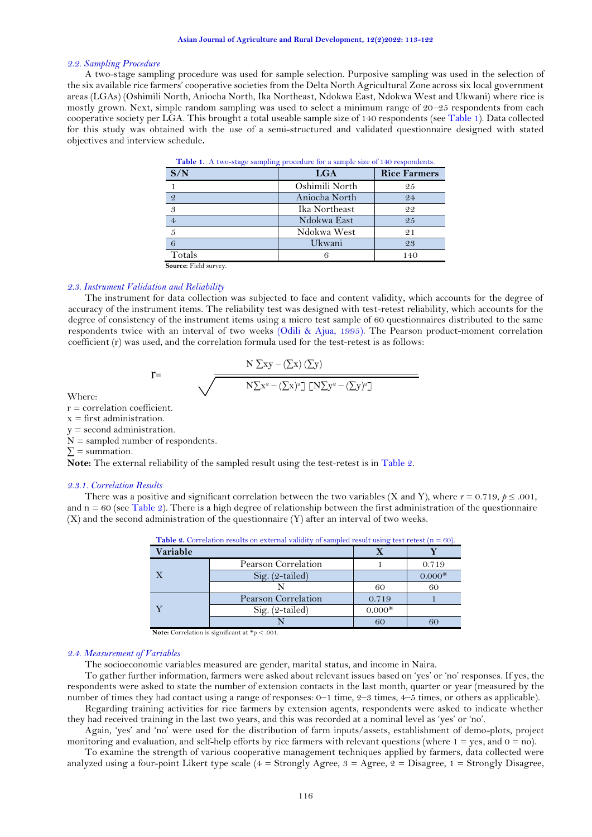#### *2.2. Sampling Procedure*

<span id="page-3-0"></span>A two-stage sampling procedure was used for sample selection. Purposive sampling was used in the selection of the six available rice farmers' cooperative societies from the Delta North Agricultural Zone across six local government areas (LGAs) (Oshimili North, Aniocha North, Ika Northeast, Ndokwa East, Ndokwa West and Ukwani) where rice is mostly grown. Next, simple random sampling was used to select a minimum range of 20–25 respondents from each cooperative society per LGA. This brought a total useable sample size of 140 respondents (se[e Table 1\)](#page-3-0). Data collected for this study was obtained with the use of a semi-structured and validated questionnaire designed with stated objectives and interview schedule**.** 

| S/N            | <b>LGA</b>     | <b>Rice Farmers</b> |
|----------------|----------------|---------------------|
|                | Oshimili North | 25                  |
| $\overline{2}$ | Aniocha North  | 24                  |
| 3              | Ika Northeast  | 22                  |
| $\overline{4}$ | Ndokwa East    | 25                  |
|                | Ndokwa West    | 21                  |
|                | Ukwani         | 23                  |
| Totals         | 6              | 140                 |

| <b>Table 1.</b> A two-stage sampling procedure for a sample size of 140 respondents. |  |
|--------------------------------------------------------------------------------------|--|
|--------------------------------------------------------------------------------------|--|

**Source:** Field survey.

# *2.3. Instrument Validation and Reliability*

The instrument for data collection was subjected to face and content validity, which accounts for the degree of accuracy of the instrument items. The reliability test was designed with test-retest reliability, which accounts for the degree of consistency of the instrument items using a micro test sample of 60 questionnaires distributed to the same respondents twice with an interval of two weeks [\(Odili & Ajua, 1995\)](#page-9-12). The Pearson product-moment correlation coefficient (r) was used, and the correlation formula used for the test-retest is as follows:

$$
\frac{N \sum xy - (\sum x) (\sum y)}{N \sum x^2 - (\sum x)^2 \prod N \sum y^2 - (\sum y)^2 \prod}
$$

Where:

 $r =$  correlation coefficient.

 $x =$  first administration.

y = second administration.

 $N =$  sampled number of respondents.

 $r=$ 

 $\Sigma$  = summation.

**Note:** The external reliability of the sampled result using the test-retest is i[n Table](#page-3-1) 2.

#### *2.3.1. Correlation Results*

<span id="page-3-1"></span>There was a positive and significant correlation between the two variables (X and Y), where  $r = 0.719$ ,  $p \le 0.001$ , and  $n = 60$  (see [Table 2\)](#page-3-1). There is a high degree of relationship between the first administration of the questionnaire (X) and the second administration of the questionnaire (Y) after an interval of two weeks.

| <b>Table 2.</b> Correlation results on external validity of sampled result using test retest $(n = 60)$ . |                     |          |          |  |
|-----------------------------------------------------------------------------------------------------------|---------------------|----------|----------|--|
| Variable                                                                                                  |                     |          |          |  |
|                                                                                                           | Pearson Correlation |          | 0.719    |  |
| $\mathbf{X}$                                                                                              | $Sig. (2-tailed)$   |          | $0.000*$ |  |
|                                                                                                           |                     | 60       | 60       |  |
|                                                                                                           | Pearson Correlation | 0.719    |          |  |
|                                                                                                           | Sig. $(2$ -tailed)  | $0.000*$ |          |  |
|                                                                                                           |                     |          | 60       |  |

**Note:** Correlation is significant at \*p < .001.

#### *2.4. Measurement of Variables*

The socioeconomic variables measured are gender, marital status, and income in Naira.

To gather further information, farmers were asked about relevant issues based on 'yes' or 'no' responses. If yes, the respondents were asked to state the number of extension contacts in the last month, quarter or year (measured by the number of times they had contact using a range of responses: 0–1 time, 2–3 times, 4–5 times, or others as applicable). Regarding training activities for rice farmers by extension agents, respondents were asked to indicate whether

they had received training in the last two years, and this was recorded at a nominal level as 'yes' or 'no'. Again, 'yes' and 'no' were used for the distribution of farm inputs/assets, establishment of demo-plots, project

monitoring and evaluation, and self-help efforts by rice farmers with relevant questions (where  $1 = yes$ , and  $0 = no$ ). To examine the strength of various cooperative management techniques applied by farmers, data collected were analyzed using a four-point Likert type scale ( $4 =$  Strongly Agree,  $3 =$  Agree,  $2 =$  Disagree,  $1 =$  Strongly Disagree,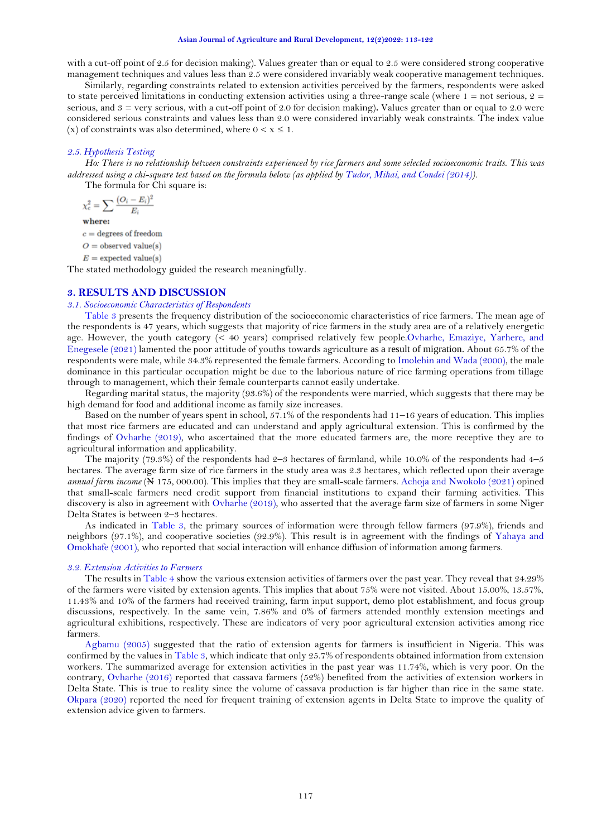#### **Asian Journal of Agriculture and Rural Development, 12(2)2022: 113-122**

with a cut-off point of 2.5 for decision making). Values greater than or equal to 2.5 were considered strong cooperative management techniques and values less than 2.5 were considered invariably weak cooperative management techniques.

Similarly, regarding constraints related to extension activities perceived by the farmers, respondents were asked to state perceived limitations in conducting extension activities using a three-range scale (where  $1 =$  not serious,  $2 =$ serious, and 3 = very serious, with a cut-off point of 2.0 for decision making)**.** Values greater than or equal to 2.0 were considered serious constraints and values less than 2.0 were considered invariably weak constraints. The index value (x) of constraints was also determined, where  $0 < x \leq 1$ .

### *2.5. Hypothesis Testing*

*Ho: There is no relationship between constraints experienced by rice farmers and some selected socioeconomic traits. This was addressed using a chi-square test based on the formula below (as applied by [Tudor, Mihai, and Condei \(2014\)](#page-9-13)).*

The formula for Chi square is:

$$
\chi_c^2 = \sum \frac{(O_i - E_i)}{E_i}
$$

where:

 $c =$  degrees of freedom

 $O =$  observed value(s)

 $E =$  expected value(s)

The stated methodology guided the research meaningfully.

### **3. RESULTS AND DISCUSSION**

#### *3.1. Socioeconomic Characteristics of Respondents*

[Table 3](#page-4-0) presents the frequency distribution of the socioeconomic characteristics of rice farmers. The mean age of the respondents is 47 years, which suggests that majority of rice farmers in the study area are of a relatively energetic age. However, the youth category (< 40 years) comprised relatively few peopl[e.Ovharhe, Emaziye, Yarhere, and](#page-9-14)  [Enegesele \(2021\)](#page-9-14) lamented the poor attitude of youths towards agriculture as a result of migration. About 65.7% of the respondents were male, while 34.3% represented the female farmers. According to [Imolehin and Wada \(2000\)](#page-8-11), the male dominance in this particular occupation might be due to the laborious nature of rice farming operations from tillage through to management, which their female counterparts cannot easily undertake.

Regarding marital status, the majority (93.6%) of the respondents were married, which suggests that there may be high demand for food and additional income as family size increases.

Based on the number of years spent in school, 57.1% of the respondents had 11–16 years of education. This implies that most rice farmers are educated and can understand and apply agricultural extension. This is confirmed by the findings of [Ovharhe \(2019\)](#page-9-1), who ascertained that the more educated farmers are, the more receptive they are to agricultural information and applicability.

The majority (79.3%) of the respondents had  $2-3$  hectares of farmland, while 10.0% of the respondents had  $4-5$ hectares. The average farm size of rice farmers in the study area was 2.3 hectares, which reflected upon their average *annual farm income* ( $\neq$  175, 000.00). This implies that they are small-scale farmers. [Achoja and Nwokolo \(2021\)](#page-8-12) opined that small-scale farmers need credit support from financial institutions to expand their farming activities. This discovery is also in agreement wit[h Ovharhe \(2019\)](#page-9-1), who asserted that the average farm size of farmers in some Niger Delta States is between 2–3 hectares.

As indicated in [Table 3,](#page-4-0) the primary sources of information were through fellow farmers (97.9%), friends and neighbors (97.1%), and cooperative societies (92.9%). This result is in agreement with the findings of [Yahaya and](#page-9-15)  [Omokhafe \(2001\)](#page-9-15), who reported that social interaction will enhance diffusion of information among farmers.

#### <span id="page-4-0"></span>*3.2. Extension Activities to Farmers*

The results i[n Table 4](#page-5-0) show the various extension activities of farmers over the past year. They reveal that 24.29% of the farmers were visited by extension agents. This implies that about 75% were not visited. About 15.00%, 13.57%, 11.43% and 10% of the farmers had received training, farm input support, demo plot establishment, and focus group discussions, respectively. In the same vein, 7.86% and 0% of farmers attended monthly extension meetings and agricultural exhibitions, respectively. These are indicators of very poor agricultural extension activities among rice farmers.

[Agbamu \(2005\)](#page-8-13) suggested that the ratio of extension agents for farmers is insufficient in Nigeria. This was confirmed by the values i[n Table 3,](#page-4-0) which indicate that only 25.7% of respondents obtained information from extension workers. The summarized average for extension activities in the past year was 11.74%, which is very poor. On the contrary, [Ovharhe \(2016\)](#page-9-16) reported that cassava farmers (52%) benefited from the activities of extension workers in Delta State. This is true to reality since the volume of cassava production is far higher than rice in the same state. [Okpara \(2020\)](#page-9-6) reported the need for frequent training of extension agents in Delta State to improve the quality of extension advice given to farmers.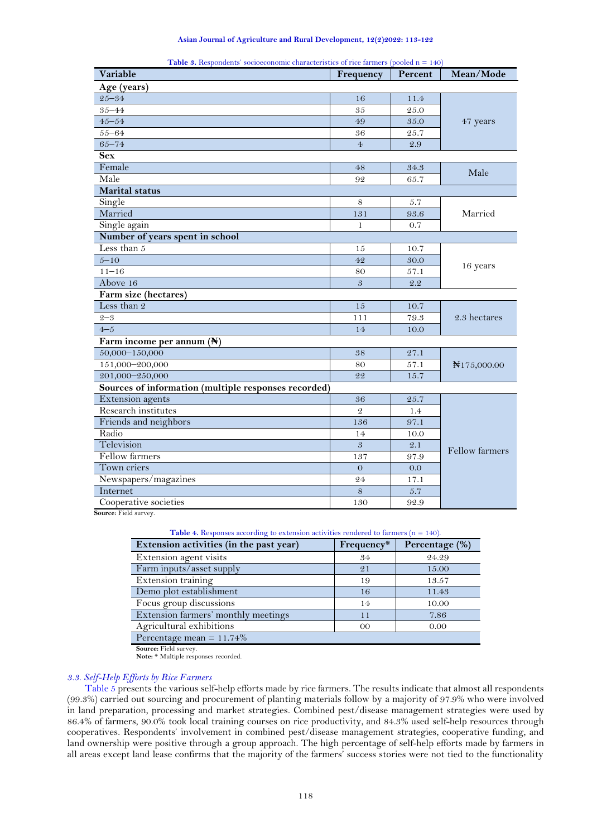|  |  |  | Asian Journal of Agriculture and Rural Development, 12(2)2022: 113-122 |  |  |  |  |  |  |  |  |
|--|--|--|------------------------------------------------------------------------|--|--|--|--|--|--|--|--|
|--|--|--|------------------------------------------------------------------------|--|--|--|--|--|--|--|--|

| Variable                                             | Frequency      | Percent | Mean/Mode              |
|------------------------------------------------------|----------------|---------|------------------------|
| Age (years)                                          |                |         |                        |
| $25 - 34$                                            | 16             | 11.4    |                        |
| $35 - 44$                                            | 35             | 25.0    |                        |
| $45 - 54$                                            | 49             | 35.0    | 47 years               |
| $55 - 64$                                            | 36             | 25.7    |                        |
| $65 - 74$                                            | $\overline{4}$ | 2.9     |                        |
| <b>Sex</b>                                           |                |         |                        |
| Female                                               | 48             | 34.3    |                        |
| Male                                                 | 92             | 65.7    | Male                   |
| <b>Marital</b> status                                |                |         |                        |
| Single                                               | 8              | 5.7     |                        |
| Married                                              | 131            | 93.6    | Married                |
| Single again                                         | 1              | 0.7     |                        |
| Number of years spent in school                      |                |         |                        |
| Less than 5                                          | 15             | 10.7    |                        |
| $5 - 10$                                             | 42             | 30.0    |                        |
| $11 - 16$                                            | 80             | 57.1    | 16 years               |
| Above 16                                             | 3              | 2.2     |                        |
| Farm size (hectares)                                 |                |         |                        |
| Less than 2                                          | 15             | 10.7    |                        |
| $2 - 3$                                              | 111            | 79.3    | 2.3 hectares           |
| $4 - 5$                                              | 14             | 10.0    |                        |
| Farm income per annum (N)                            |                |         |                        |
| 50,000-150,000                                       | 38             | 27.1    |                        |
| 151,000-200,000                                      | 80             | 57.1    | $\mathbb{N}175,000.00$ |
| 201,000-250,000                                      | 22             | 15.7    |                        |
| Sources of information (multiple responses recorded) |                |         |                        |
| Extension agents                                     | 36             | 25.7    |                        |
| Research institutes                                  | $\mathcal{Q}$  | 1.4     |                        |
| Friends and neighbors                                | 136            | 97.1    |                        |
| Radio                                                | 14             | 10.0    |                        |
| Television                                           | 3              | 2.1     |                        |
| Fellow farmers                                       | 137            | 97.9    | Fellow farmers         |
| Town criers                                          | $\overline{O}$ | 0.0     |                        |
| Newspapers/magazines                                 | 24             | 17.1    |                        |
| Internet                                             | 8              | 5.7     |                        |
| Cooperative societies                                | 130            | 92.9    |                        |

**Table 3.** Respondents' socioeconomic characteristics of rice farmers (pooled n = 140)

<span id="page-5-0"></span>**Source:** Field survey.

| <b>Table 4.</b> Responses according to extension activities rendered to farmers $(n = 140)$ . |  |  |  |
|-----------------------------------------------------------------------------------------------|--|--|--|
|                                                                                               |  |  |  |

| Extension activities (in the past year) | Frequency* | Percentage (%) |
|-----------------------------------------|------------|----------------|
| Extension agent visits                  | 34         | 24.29          |
| Farm inputs/asset supply                | 21         | 15.00          |
| Extension training                      | 19         | 13.57          |
| Demo plot establishment                 | 16         | 11.43          |
| Focus group discussions                 | 14         | 10.00          |
| Extension farmers' monthly meetings     | 11         | 7.86           |
| Agricultural exhibitions                | 00         | 0.00           |
| Percentage mean = $11.74\%$             |            |                |

**Source:** Field survey.

**Note:** \* Multiple responses recorded.

### *3.3. Self-Help Efforts by Rice Farmers*

[Table 5](#page-6-0) presents the various self-help efforts made by rice farmers. The results indicate that almost all respondents (99.3%) carried out sourcing and procurement of planting materials follow by a majority of 97.9% who were involved in land preparation, processing and market strategies. Combined pest/disease management strategies were used by 86.4% of farmers, 90.0% took local training courses on rice productivity, and 84.3% used self-help resources through cooperatives. Respondents' involvement in combined pest/disease management strategies, cooperative funding, and land ownership were positive through a group approach. The high percentage of self-help efforts made by farmers in all areas except land lease confirms that the majority of the farmers' success stories were not tied to the functionality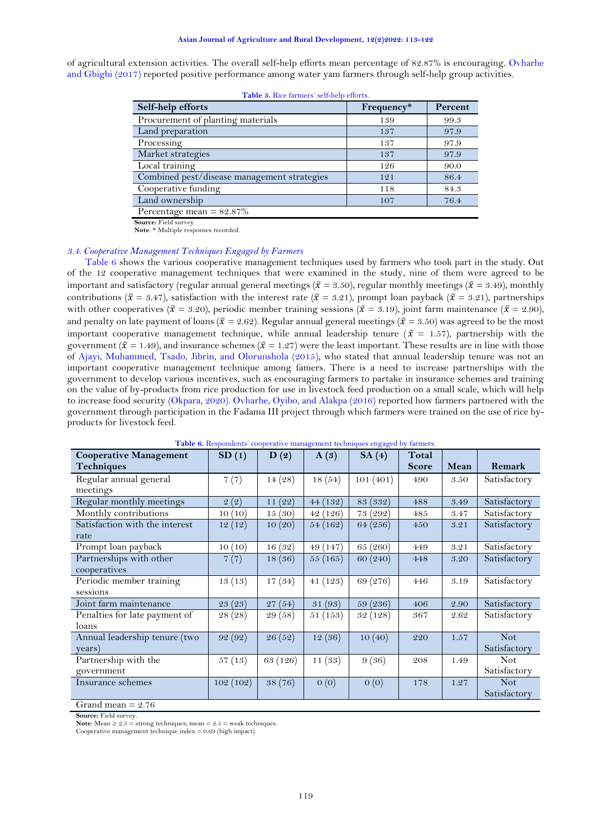<span id="page-6-0"></span>of agricultural extension activities. The overall self-help efforts mean percentage of 82.87% is encouraging. [Ovharhe](#page-9-17)  [and Gbigbi \(2017\)](#page-9-17) reported positive performance among water yam farmers through self-help group activities.

| Self-help efforts                           | Frequency* | Percent |
|---------------------------------------------|------------|---------|
| Procurement of planting materials           | 139        | 99.3    |
| Land preparation                            | 137        | 97.9    |
| Processing                                  | 137        | 97.9    |
| Market strategies                           | 137        | 97.9    |
| Local training                              | 126        | 90.0    |
| Combined pest/disease management strategies | 121        | 86.4    |
| Cooperative funding                         | 118        | 84.3    |
| Land ownership                              | 107        | 76.4    |
| Percentage mean $= 82.87\%$                 |            |         |
| Counse, Field anwear                        |            |         |

**Table 5.** Rice farmers' self-help efforts.

**Source:** Field survey. **Note**: \* Multiple responses recorded.

#### *3.4. Cooperative Management Techniques Engaged by Farmers*

[Table 6](#page-6-1) shows the various cooperative management techniques used by farmers who took part in the study. Out of the 12 cooperative management techniques that were examined in the study, nine of them were agreed to be important and satisfactory (regular annual general meetings ( $\bar{x}$  = 3.50), regular monthly meetings ( $\bar{x}$  = 3.49), monthly contributions ( $\bar{x} = 3.47$ ), satisfaction with the interest rate ( $\bar{x} = 3.21$ ), prompt loan payback ( $\bar{x} = 3.21$ ), partnerships with other cooperatives ( $\bar{x} = 3.20$ ), periodic member training sessions ( $\bar{x} = 3.19$ ), joint farm maintenance ( $\bar{x} = 2.90$ ), and penalty on late payment of loans ( $\bar{x} = 2.62$ ). Regular annual general meetings ( $\bar{x} = 3.50$ ) was agreed to be the most important cooperative management technique, while annual leadership tenure ( $\bar{x}$  = 1.57), partnership with the government ( $\bar{x} = 1.49$ ), and insurance schemes ( $\bar{x} = 1.27$ ) were the least important. These results are in line with those of [Ajayi, Muhammed, Tsado, Jibrin, and Olorunshola \(2015\)](#page-8-14), who stated that annual leadership tenure was not an important cooperative management technique among famers. There is a need to increase partnerships with the government to develop various incentives, such as encouraging farmers to partake in insurance schemes and training on the value of by-products from rice production for use in livestock feed production on a small scale, which will help to increase food security [\(Okpara, 2020\)](#page-9-6). [Ovharhe, Oyibo, and Alakpa \(2016\)](#page-9-18) reported how farmers partnered with the government through participation in the Fadama III project through which farmers were trained on the use of rice byproducts for livestock feed.

<span id="page-6-1"></span>

| <b>Cooperative Management</b>  | SD(1)    | D(2)     | A(3)     | <b>rasic of re</b> spondents cooperative management techniques engaged by namers.<br>SA(4) | Total        |      |              |
|--------------------------------|----------|----------|----------|--------------------------------------------------------------------------------------------|--------------|------|--------------|
| <b>Techniques</b>              |          |          |          |                                                                                            | <b>Score</b> | Mean | Remark       |
| Regular annual general         | 7(7)     | 14(28)   | 18(54)   | 101(401)                                                                                   | 490          | 3.50 | Satisfactory |
| meetings                       |          |          |          |                                                                                            |              |      |              |
| Regular monthly meetings       | 2(2)     | 11(22)   | 44(132)  | 83 (332)                                                                                   | 488          | 3.49 | Satisfactory |
| Monthly contributions          | 10(10)   | 15(30)   | 42(126)  | 73 (292)                                                                                   | 485          | 3.47 | Satisfactory |
| Satisfaction with the interest | 12(12)   | 10(20)   | 54 (162) | 64 (256)                                                                                   | 450          | 3.21 | Satisfactory |
| rate                           |          |          |          |                                                                                            |              |      |              |
| Prompt loan payback            | 10(10)   | 16(32)   | 49(147)  | 65 (260)                                                                                   | 449          | 3.21 | Satisfactory |
| Partnerships with other        | 7(7)     | 18(36)   | 55(165)  | 60 (240)                                                                                   | 448          | 3.20 | Satisfactory |
| cooperatives                   |          |          |          |                                                                                            |              |      |              |
| Periodic member training       | 13(13)   | 17(34)   | 41(123)  | 69 (276)                                                                                   | 446          | 3.19 | Satisfactory |
| sessions                       |          |          |          |                                                                                            |              |      |              |
| Joint farm maintenance         | 23 (23)  | 27(54)   | 31 (93)  | 59 (236)                                                                                   | 406          | 2.90 | Satisfactory |
| Penalties for late payment of  | 28 (28)  | 29 (58)  | 51(153)  | 32 (128)                                                                                   | 367          | 2.62 | Satisfactory |
| loans                          |          |          |          |                                                                                            |              |      |              |
| Annual leadership tenure (two  | 92 (92)  | 26 (52)  | 12(36)   | 10(40)                                                                                     | 220          | 1.57 | <b>Not</b>   |
| years)                         |          |          |          |                                                                                            |              |      | Satisfactory |
| Partnership with the           | 57(13)   | 63 (126) | 11(33)   | 9(36)                                                                                      | 208          | 1.49 | <b>Not</b>   |
| government                     |          |          |          |                                                                                            |              |      | Satisfactory |
| Insurance schemes              | 102(102) | 38 (76)  | O(0)     | 0(0)                                                                                       | 178          | 1.27 | <b>Not</b>   |
|                                |          |          |          |                                                                                            |              |      | Satisfactory |

**Table 6.** Respondents' cooperative management techniques engaged by farmers.

Grand mean  $= 2.76$ 

**Source:** Field survey.

**Note**: Mean  $\geq 2.5$  = strong techniques; mean  $\leq 2.5$  = weak techniques.

Cooperative management technique index  $= 0.69$  (high impact).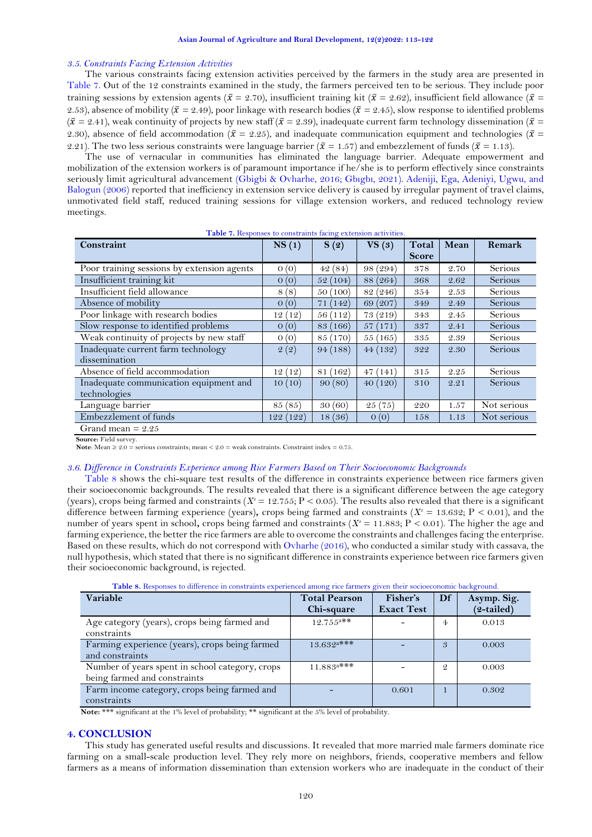## *3.5. Constraints Facing Extension Activities*

The various constraints facing extension activities perceived by the farmers in the study area are presented in [Table 7.](#page-7-0) Out of the 12 constraints examined in the study, the farmers perceived ten to be serious. They include poor training sessions by extension agents ( $\bar{x} = 2.70$ ), insufficient training kit ( $\bar{x} = 2.62$ ), insufficient field allowance ( $\bar{x} =$ 2.53), absence of mobility ( $\bar{x} = 2.49$ ), poor linkage with research bodies ( $\bar{x} = 2.45$ ), slow response to identified problems  $({\bar x}=2.41)$ , weak continuity of projects by new staff  $({\bar x}=2.39)$ , inadequate current farm technology dissemination  $({\bar x}=$ 2.30), absence of field accommodation ( $\bar{x} = 2.25$ ), and inadequate communication equipment and technologies ( $\bar{x} =$ 2.21). The two less serious constraints were language barrier ( $\bar{x} = 1.57$ ) and embezzlement of funds ( $\bar{x} = 1.13$ ).

The use of vernacular in communities has eliminated the language barrier. Adequate empowerment and mobilization of the extension workers is of paramount importance if he/she is to perform effectively since constraints seriously limit agricultural advancement [\(Gbigbi & Ovharhe, 2016;](#page-8-15) Gbıgbı[, 2021\)](#page-8-16). [Adeniji, Ega, Adeniyi, Ugwu, and](#page-8-17)  [Balogun \(2006\)](#page-8-17) reported that inefficiency in extension service delivery is caused by irregular payment of travel claims, unmotivated field staff, reduced training sessions for village extension workers, and reduced technology review meetings.

| $T/T$ $($<br>$\mathbf{X}$                                             | $\sqrt{2}$ |
|-----------------------------------------------------------------------|------------|
| <b>Table 7.</b> Responses to constraints facing extension activities. |            |

<span id="page-7-0"></span>

| Constraint                                 | NS(1)       | S(2)                     | VS(3)       | Total        | Mean | Remark      |
|--------------------------------------------|-------------|--------------------------|-------------|--------------|------|-------------|
|                                            |             |                          |             | <b>Score</b> |      |             |
| Poor training sessions by extension agents | 0(0)        | 42(84)                   | 98 (294)    | 378          | 2.70 | Serious     |
| Insufficient training kit                  | $\sigma(0)$ | (104)<br>52 (            | 88 (264)    | 368          | 2.62 | Serious     |
| Insufficient field allowance               | 8(8)        | 50(100)                  | 82 (246)    | 354          | 2.53 | Serious     |
| Absence of mobility                        | 0(0)        | 71(142)                  | 69 (207)    | 349          | 2.49 | Serious     |
| Poor linkage with research bodies          | 12(12)      | (112)<br>56 <sub>1</sub> | 73 (219)    | 343          | 2.45 | Serious     |
| Slow response to identified problems       | $\sigma(0)$ | (166)<br>83              | 57(171)     | 337          | 2.41 | Serious     |
| Weak continuity of projects by new staff   | 0(0)        | (170)<br>85 (            | 55(165)     | 335          | 2.39 | Serious     |
| Inadequate current farm technology         | 2(2)        | 94(188)                  | 44(132)     | 322          | 2.30 | Serious     |
| dissemination                              |             |                          |             |              |      |             |
| Absence of field accommodation             | 12(12)      | 81 (162)                 | 47(141)     | 315          | 2.25 | Serious     |
| Inadequate communication equipment and     | 10(10)      | 90(80)                   | 40(120)     | 310          | 2.21 | Serious     |
| technologies                               |             |                          |             |              |      |             |
| Language barrier                           | 85 (85)     | 30(60)                   | 25(75)      | 220          | 1.57 | Not serious |
| Embezzlement of funds                      | 122 (122)   | 18(36)                   | $\theta(0)$ | 158          | 1.13 | Not serious |
| Grand mean $= 2.25$                        |             |                          |             |              |      |             |

**Source:** Field survey.

**Note**: Mean  $\geq 2.0$  = serious constraints; mean  $\leq 2.0$  = weak constraints. Constraint index = 0.75.

## *3.6. Difference in Constraints Experience among Rice Farmers Based on Their Socioeconomic Backgrounds*

[Table 8](#page-7-1) shows the chi-square test results of the difference in constraints experience between rice farmers given their socioeconomic backgrounds. The results revealed that there is a significant difference between the age category (years), crops being farmed and constraints ( $X^2 = 12.755$ ;  $P < 0.05$ ). The results also revealed that there is a significant difference between farming experience (years), crops being farmed and constraints ( $X^2 = 13.632$ ;  $P < 0.01$ ), and the number of years spent in school, crops being farmed and constraints ( $X^2 = 11.883$ ;  $P < 0.01$ ). The higher the age and farming experience, the better the rice farmers are able to overcome the constraints and challenges facing the enterprise. Based on these results, which do not correspond wit[h Ovharhe \(2016\)](#page-9-16), who conducted a similar study with cassava, the null hypothesis, which stated that there is no significant difference in constraints experience between rice farmers given their socioeconomic background, is rejected.

<span id="page-7-1"></span>

| <b>Table 8.</b> Responses to unfertile in constraints experienced among rice farmers given their socioeconomic background. |                                    |                               |               |                           |
|----------------------------------------------------------------------------------------------------------------------------|------------------------------------|-------------------------------|---------------|---------------------------|
| Variable                                                                                                                   | <b>Total Pearson</b><br>Chi-square | Fisher's<br><b>Exact Test</b> | Df            | Asymp. Sig.<br>(2-tailed) |
| Age category (years), crops being farmed and<br>constraints                                                                | $12.755^{a**}$                     |                               | 4             | 0.013                     |
| Farming experience (years), crops being farmed<br>and constraints                                                          | $13.632$ a***                      |                               | 3             | 0.003                     |
| Number of years spent in school category, crops<br>being farmed and constraints                                            | $11.883$ <sup>a***</sup>           |                               | $\mathcal{Q}$ | 0.003                     |
| Farm income category, crops being farmed and<br>constraints                                                                |                                    | 0.601                         |               | 0.302                     |

**Table 8.** Responses to difference in constraints experienced among rice farmers given their socioeconomic background.

**Note:** \*\*\* significant at the 1% level of probability; \*\* significant at the 5% level of probability.

# **4. CONCLUSION**

This study has generated useful results and discussions. It revealed that more married male farmers dominate rice farming on a small-scale production level. They rely more on neighbors, friends, cooperative members and fellow farmers as a means of information dissemination than extension workers who are inadequate in the conduct of their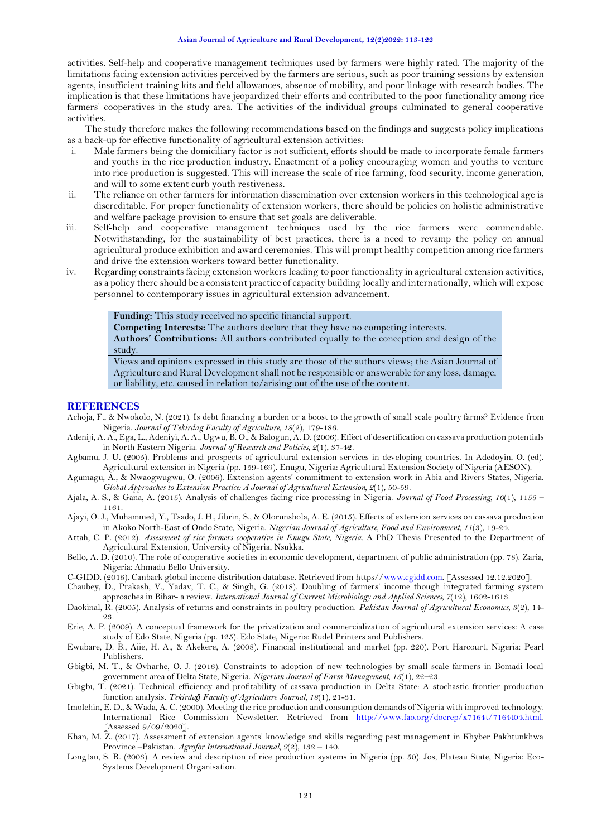activities. Self-help and cooperative management techniques used by farmers were highly rated. The majority of the limitations facing extension activities perceived by the farmers are serious, such as poor training sessions by extension agents, insufficient training kits and field allowances, absence of mobility, and poor linkage with research bodies. The implication is that these limitations have jeopardized their efforts and contributed to the poor functionality among rice farmers' cooperatives in the study area. The activities of the individual groups culminated to general cooperative activities.

The study therefore makes the following recommendations based on the findings and suggests policy implications as a back-up for effective functionality of agricultural extension activities:

- i. Male farmers being the domiciliary factor is not sufficient, efforts should be made to incorporate female farmers and youths in the rice production industry. Enactment of a policy encouraging women and youths to venture into rice production is suggested. This will increase the scale of rice farming, food security, income generation, and will to some extent curb youth restiveness.
- ii. The reliance on other farmers for information dissemination over extension workers in this technological age is discreditable. For proper functionality of extension workers, there should be policies on holistic administrative and welfare package provision to ensure that set goals are deliverable.
- iii. Self-help and cooperative management techniques used by the rice farmers were commendable. Notwithstanding, for the sustainability of best practices, there is a need to revamp the policy on annual agricultural produce exhibition and award ceremonies. This will prompt healthy competition among rice farmers and drive the extension workers toward better functionality.
- iv. Regarding constraints facing extension workers leading to poor functionality in agricultural extension activities, as a policy there should be a consistent practice of capacity building locally and internationally, which will expose personnel to contemporary issues in agricultural extension advancement.

**Funding:** This study received no specific financial support.

**Competing Interests:** The authors declare that they have no competing interests. **Authors' Contributions:** All authors contributed equally to the conception and design of the study.

Views and opinions expressed in this study are those of the authors views; the Asian Journal of Agriculture and Rural Development shall not be responsible or answerable for any loss, damage, or liability, etc. caused in relation to/arising out of the use of the content.

#### **REFERENCES**

- <span id="page-8-12"></span>Achoja, F., & Nwokolo, N. (2021). Is debt financing a burden or a boost to the growth of small scale poultry farms? Evidence from Nigeria. *Journal of Tekirdag Faculty of Agriculture, 18*(2), 179-186.
- <span id="page-8-17"></span>Adeniji, A. A., Ega, L., Adeniyi, A. A., Ugwu, B. O., & Balogun, A. D. (2006). Effect of desertification on cassava production potentials in North Eastern Nigeria. *Journal of Research and Policies, 2*(1), 37-42.
- <span id="page-8-13"></span>Agbamu, J. U. (2005). Problems and prospects of agricultural extension services in developing countries. In Adedoyin, O. (ed). Agricultural extension in Nigeria (pp. 159-169). Enugu, Nigeria: Agricultural Extension Society of Nigeria (AESON).
- <span id="page-8-7"></span>Agumagu, A., & Nwaogwugwu, O. (2006). Extension agents' commitment to extension work in Abia and Rivers States, Nigeria. *Global Approaches to Extension Practice: A Journal of Agricultural Extension, 2*(1), 50-59.
- <span id="page-8-2"></span>Ajala, A. S., & Gana, A. (2015). Analysis of challenges facing rice processing in Nigeria. *Journal of Food Processing, 10*(1), 1155 – 1161.
- <span id="page-8-14"></span>Ajayi, O. J., Muhammed, Y., Tsado, J. H., Jibrin, S., & Olorunshola, A. E. (2015). Effects of extension services on cassava production in Akoko North-East of Ondo State, Nigeria. *Nigerian Journal of Agriculture, Food and Environment, 11*(3), 19-24.
- <span id="page-8-1"></span>Attah, C. P. (2012). *Assessment of rice farmers cooperative in Enugu State, Nigeria.* A PhD Thesis Presented to the Department of Agricultural Extension, University of Nigeria, Nsukka.
- <span id="page-8-4"></span>Bello, A. D. (2010). The role of cooperative societies in economic development, department of public administration (pp. 78). Zaria, Nigeria: Ahmadu Bello University.
- <span id="page-8-10"></span>C-GIDD. (2016). Canback global income distribution database. Retrieved from https/[/www.cgidd.com.](http://www.cgidd.com/) [Assessed 12.12.2020].
- <span id="page-8-0"></span>Chaubey, D., Prakash, V., Yadav, T. C., & Singh, G. (2018). Doubling of farmers' income though integrated farming system approaches in Bihar- a review. *International Journal of Current Microbiology and Applied Sciences, 7*(12), 1602-1613.
- <span id="page-8-9"></span>Daokinal, R. (2005). Analysis of returns and constraints in poultry production. *Pakistan Journal of Agricultural Economics, 3*(2), 14- 23.
- <span id="page-8-6"></span>Erie, A. P. (2009). A conceptual framework for the privatization and commercialization of agricultural extension services: A case study of Edo State, Nigeria (pp. 125). Edo State, Nigeria: Rudel Printers and Publishers.
- <span id="page-8-5"></span>Ewubare, D. B., Aiie, H. A., & Akekere, A. (2008). Financial institutional and market (pp. 220). Port Harcourt, Nigeria: Pearl Publishers.
- <span id="page-8-15"></span>Gbigbi, M. T., & Ovharhe, O. J. (2016). Constraints to adoption of new technologies by small scale farmers in Bomadi local government area of Delta State, Nigeria. *Nigerian Journal of Farm Management, 15*(1), 22–23.
- <span id="page-8-16"></span>Gbıgbı, T. (2021). Technical efficiency and profitability of cassava production in Delta State: A stochastic frontier production function analysis. *Tekirdağ Faculty of Agriculture Journal, 18*(1), 21-31.
- <span id="page-8-11"></span>Imolehin, E. D., & Wada, A. C. (2000). Meeting the rice production and consumption demands of Nigeria with improved technology. International Rice Commission Newsletter. Retrieved from [http://www.fao.org/docrep/x7164t/7164t04.html.](http://www.fao.org/docrep/x7164t/7164t04.html) [Assessed 9/09/2020].
- <span id="page-8-8"></span>Khan, M. Z. (2017). Assessment of extension agents' knowledge and skills regarding pest management in Khyber Pakhtunkhwa Province –Pakistan. *Agrofor International Journal, 2*(2), 132 – 140.
- <span id="page-8-3"></span>Longtau, S. R. (2003). A review and description of rice production systems in Nigeria (pp. 50). Jos, Plateau State, Nigeria: Eco-Systems Development Organisation.